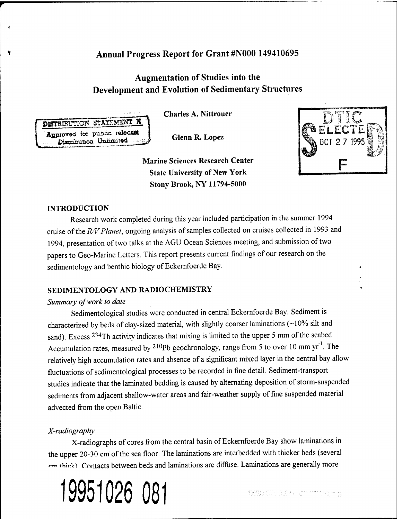# Annual Progress Report for Grant #N000 149410695

# Augmentation of Studies into the Development and Evolution of Sedimentary Structures

**Charles A. Nittrouer**

**Glenn R. Lopez**

**Marine Sciences Research Center State University of New York Stony Brook, NY 11794-5000**



## **INTRODUCTION**

**DISTRIBUTION STATEMENT R Aßproved** ioi public **reiaoaflt** Distribution Unlimited

V.

۷

Research work completed during this year included participation in the summer 1994 cruise of the *R/V Planet*, ongoing analysis of samples collected on cruises collected in 1993 and 1994, presentation of two talks at the AGU Ocean Sciences meeting, and submission of two papers to Geo-Marine Letters. This report presents current findings of our research on the sedimentology and benthic biology of Eckernfoerde Bay.

## **SEDEVIENTOLOGY AND RADIOCHEMISTRY**

#### *Summary ofwork to date*

Sedimentological studies were conducted in central Eckernfoerde Bay. Sediment is characterized by beds of clay-sized material, with slightly coarser laminations (~10% silt and sand). Excess <sup>234</sup>Th activity indicates that mixing is limited to the upper 5 mm of the seabed. Accumulation rates, measured by  $210Pb$  geochronology, range from 5 to over 10 mm yr<sup>-1</sup>. The relatively high accumulation rates and absence of a significant mixed layer in the central bay allow fluctuations of sedimentological processes to be recorded in fine detail. Sediment-transport studies indicate that the laminated bedding is caused by alternating deposition of storm-suspended sediments from adjacent shallow-water areas and fair-weather supply of fine suspended material advected from the open Baltic.

## *X-radiography*

X-radiographs of cores from the central basin of Eckernfoerde Bay show laminations in the upper 20-30 cm of the sea floor. The laminations are interbedded with thicker beds (several ^m *ih\rk\* Contacts between beds and laminations are diffuse. Laminations are generally more

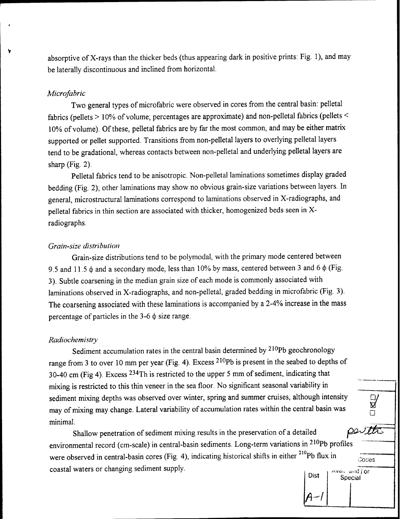absorptive of X-rays than the thicker beds (thus appearing dark in positive prints: Fig. 1), and may be laterally discontinuous and inclined from horizontal.

#### *Microfabric*

Two general types of microfabric were observed in cores from the central basin: pelletal fabrics (pellets  $> 10\%$  of volume; percentages are approximate) and non-pelletal fabrics (pellets  $\leq$ 10% of volume). Of these, pelletal fabrics are by far the most common, and may be either matrix supported or pellet supported. Transitions from non-pelletal layers to overlying pelletal layers tend to be gradational, whereas contacts between non-pelletal and underlying pelletal layers are sharp  $(Fig. 2)$ .

Pelletal fabrics tend to be anisotropic. Non-pelletal laminations sometimes display graded bedding (Fig. 2); other laminations may show no obvious grain-size variations between layers. In general, microstructural laminations correspond to laminations observed in X-radiographs, and pelletal fabrics in thin section are associated with thicker, homogenized beds seen in Xradiographs.

#### *Grain-size distribution*

Grain-size distributions tend to be polymodal, with the primary mode centered between 9.5 and 11.5  $\phi$  and a secondary mode, less than 10% by mass, centered between 3 and 6  $\phi$  (Fig. 3). Subtle coarsening in the median grain size of each mode is commonly associated with laminations observed in X-radiographs, and non-pelletal, graded bedding in microfabric (Fig. 3). The coarsening associated with these laminations is accompanied by a 2-4% increase in the mass percentage of particles in the  $3-6 \phi$  size range.

#### *Radiochemistry*

Sediment accumulation rates in the central basin determined by <sup>210</sup>Pb geochronology range from <sup>3</sup> to over <sup>10</sup> mm per year (Fig. 4). Excess <sup>210</sup>Pb is present in the seabed to depths of 30-40 cm (Fig 4). Excess <sup>234</sup>Th is restricted to the upper 5 mm of sediment, indicating that mixing is restricted to this thin veneer in the sea floor. No significant seasonal variability in sediment mixing depths was observed over winter, spring and summer cruises, although intensity sediment mixing depths was observed over winter, spring and summer cruises, although intensity<br>may of mixing may change. Lateral variability of accumulation rates within the central basin was minimal.

Shallow penetration of sediment mixing results in the preservation of a detailed environmental record (cm-scale) in central-basin sediments. Long-term variations in <sup>210</sup>Pb profiles were observed in central-basin cores (Fig. 4), indicating historical shifts in either Pb flux in ~~ coastal waters or changing sediment supply.

| Dist | $\Delta$ van and or<br>Special |
|------|--------------------------------|
|      |                                |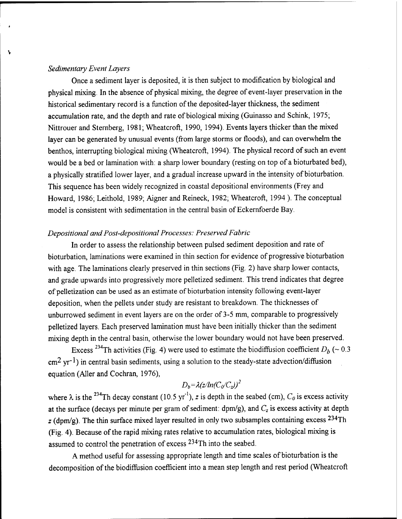#### *Sedimentary Event Layers*

Ñ,

Once a sediment layer is deposited, it is then subject to modification by biological and physical mixing. In the absence of physical mixing, the degree of event-layer preservation in the historical sedimentary record is a function of the deposited-layer thickness, the sediment accumulation rate, and the depth and rate of biological mixing (Guinasso and Schink, 1975; Nittrouer and Sternberg, 1981; Wheatcroft, 1990, 1994). Events layers thicker than the mixed layer can be generated by unusual events (from large storms or floods), and can overwhelm the benthos, interrupting biological mixing (Wheatcroft, 1994). The physical record of such an event would be a bed or lamination with: a sharp lower boundary (resting on top of a bioturbated bed), a physically stratified lower layer, and a gradual increase upward in the intensity of bioturbation. This sequence has been widely recognized in coastal depositional environments (Frey and Howard, 1986; Leithold, 1989; Aigner and Reineck, 1982; Wheatcroft, 1994 ). The conceptual model is consistent with sedimentation in the central basin of Eckernfoerde Bay.

#### *Depositional andPost-depositional Processes: Preserved Fabric*

In order to assess the relationship between pulsed sediment deposition and rate of bioturbation, laminations were examined in thin section for evidence of progressive bioturbation with age. The laminations clearly preserved in thin sections (Fig. 2) have sharp lower contacts, and grade upwards into progressively more pelletized sediment. This trend indicates that degree of pelletization can be used as an estimate of bioturbation intensity following event-layer deposition, when the pellets under study are resistant to breakdown. The thicknesses of unburrowed sediment in event layers are on the order of 3-5 mm, comparable to progressively pelletized layers. Each preserved lamination must have been initially thicker than the sediment mixing depth in the central basin, otherwise the lower boundary would not have been preserved.

Excess <sup>234</sup>Th activities (Fig. 4) were used to estimate the biodiffusion coefficient  $D_b$  (~ 0.3)  $cm<sup>2</sup>$  yr<sup>-1</sup>) in central basin sediments, using a solution to the steady-state advection/diffusion equation (Aller and Cochran, 1976),

$$
D_b = \lambda (z/ln(C_0/C_z))^2
$$

where  $\lambda$  is the <sup>234</sup>Th decay constant (10.5 yr<sup>-1</sup>), *z* is depth in the seabed (cm),  $C_0$  is excess activity at the surface (decays per minute per gram of sediment:  $dpm/g$ ), and  $C_z$  is excess activity at depth *z* (dpm/g). The thin surface mixed layer resulted in only two subsamples containing excess <sup>234</sup>Th (Fig. 4). Because of the rapid mixing rates relative to accumulation rates, biological mixing is assumed to control the penetration of excess <sup>234</sup>Th into the seabed.

A method useful for assessing appropriate length and time scales of bioturbation is the decomposition of the biodiffusion coefficient into a mean step length and rest period (Wheatcroft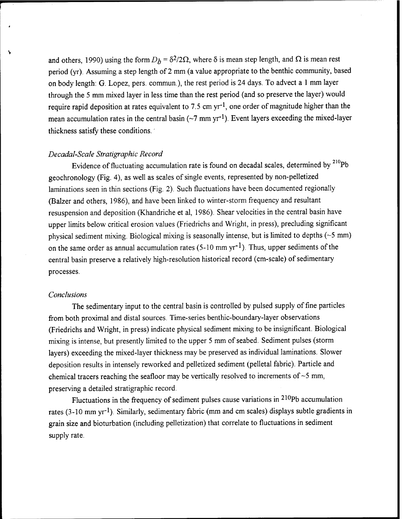and others, 1990) using the form  $D_b = \delta^2/2\Omega$ , where  $\delta$  is mean step length, and  $\Omega$  is mean rest period (yr). Assuming a step length of 2 mm (a value appropriate to the benthic community, based on body length: G. Lopez, pers. commun), the rest period is 24 days. To advect a <sup>1</sup> mm layer through the 5 mm mixed layer in less time than the rest period (and so preserve the layer) would require rapid deposition at rates equivalent to 7.5 cm  $yr^{-1}$ , one order of magnitude higher than the mean accumulation rates in the central basin ( $\sim$ 7 mm yr<sup>-1</sup>). Event layers exceeding the mixed-layer thickness satisfy these conditions.

#### *Decadal-Scale Stratigraphic Record*

Evidence of fluctuating accumulation rate is found on decadal scales, determined by  $^{210}Pb$ geochronology (Fig. 4), as well as scales of single events, represented by non-pelletized laminations seen in thin sections (Fig. 2). Such fluctuations have been documented regionally (Balzer and others, 1986), and have been linked to winter-storm frequency and resultant resuspension and deposition (Khandriche et al, 1986). Shear velocities in the central basin have upper limits below critical erosion values (Friedrichs and Wright, in press), precluding significant physical sediment mixing. Biological mixing is seasonally intense, but is limited to depths  $(-5 \text{ mm})$ on the same order as annual accumulation rates  $(5{\text -}10 \text{ mm yr}^{-1})$ . Thus, upper sediments of the central basin preserve a relatively high-resolution historical record (cm-scale) of sedimentary processes.

#### *Conclusions*

١

The sedimentary input to the central basin is controlled by pulsed supply of fine particles from both proximal and distal sources. Time-series benthic-boundary-layer observations (Friedrichs and Wright, in press) indicate physical sediment mixing to be insignificant. Biological mixing is intense, but presently limited to the upper 5 mm of seabed. Sediment pulses (storm layers) exceeding the mixed-layer thickness may be preserved as individual laminations. Slower deposition results in intensely reworked and pelletized sediment (pelletal fabric). Particle and chemical tracers reaching the seafloor may be vertically resolved to increments of  $\sim$ 5 mm, preserving a detailed stratigraphic record.

Fluctuations in the frequency of sediment pulses cause variations in  $210Pb$  accumulation rates (3-10 mm yr<sup>-1</sup>). Similarly, sedimentary fabric (mm and cm scales) displays subtle gradients in grain size and bioturbation (including pelletization) that correlate to fluctuations in sediment supply rate.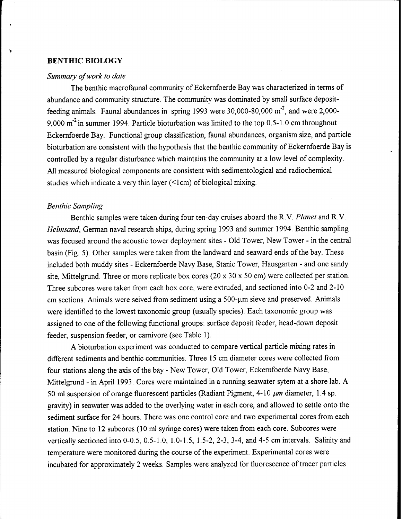#### **BENTHIC BIOLOGY**

#### *Summary ofwork to date*

The benthic macrofaunal community of Eckernfoerde Bay was characterized in terms of abundance and community structure. The community was dominated by small surface depositfeeding animals. Faunal abundances in spring 1993 were 30,000-80,000 m<sup>-2</sup>, and were 2,000-9,000 m<sup>-2</sup> in summer 1994. Particle bioturbation was limited to the top 0.5-1.0 cm throughout Eckernfoerde Bay. Functional group classification, faunal abundances, organism size, and particle bioturbation are consistent with the hypothesis that the benthic community of Eckernfoerde Bay is controlled by a regular disturbance which maintains the community at a low level of complexity. All measured biological components are consistent with sedimentological and radiochemical studies which indicate a very thin layer  $(\leq lcm)$  of biological mixing.

#### *Benthic Sampling*

Benthic samples were taken during four ten-day cruises aboard the R.V. *Planet* and R.V. *Helmsand,* German naval research ships, during spring 1993 and summer 1994. Benthic sampling was focused around the acoustic tower deployment sites - Old Tower, New Tower - in the central basin (Fig. 5). Other samples were taken from the landward and seaward ends of the bay. These included both muddy sites - Eckernfoerde Navy Base, Stanic Tower, Hausgarten - and one sandy site, Mittelgrund. Three or more replicate box cores (20 x 30 x 50 cm) were collected per station. Three subcores were taken from each box core, were extruded, and sectioned into 0-2 and 2-10 cm sections. Animals were seived from sediment using a 500-um sieve and preserved. Animals were identified to the lowest taxonomic group (usually species). Each taxonomic group was assigned to one of the following functional groups: surface deposit feeder, head-down deposit feeder, suspension feeder, or carnivore (see Table 1).

A bioturbation experiment was conducted to compare vertical particle mixing rates in different sediments and benthic communities. Three 15 cm diameter cores were collected from four stations along the axis of the bay - New Tower, Old Tower, Eckernfoerde Navy Base, Mittelgrund - in April 1993. Cores were maintained in a running seawater sytem at a shore lab. A 50 ml suspension of orange fluorescent particles (Radiant Pigment, 4-10  $\mu$ m diameter, 1.4 sp. gravity) in seawater was added to the overlying water in each core, and allowed to settle onto the sediment surface for 24 hours. There was one control core and two experimental cores from each station. Nine to 12 subcores (10 ml syringe cores) were taken from each core. Subcores were vertically sectioned into 0-0.5, 0.5-1.0, 1.0-1.5, 1.5-2, 2-3, 3-4, and 4-5 cm intervals. Salinity and temperature were monitored during the course of the experiment. Experimental cores were incubated for approximately 2 weeks. Samples were analyzed for fluorescence of tracer particles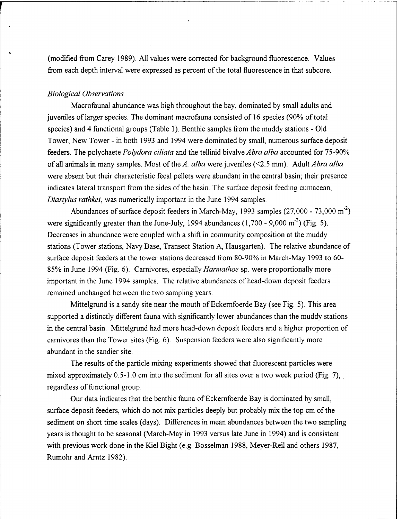(modified from Carey 1989). All values were corrected for background fluorescence. Values from each depth interval were expressed as percent of the total fluorescence in that subcore.

#### *Biological Observations*

Macrofaunal abundance was high throughout the bay, dominated by small adults and juveniles of larger species. The dominant macrofauna consisted of 16 species (90% of total species) and 4 functional groups (Table 1). Benthic samples from the muddy stations - Old Tower, New Tower - in both 1993 and 1994 were dominated by small, numerous surface deposit feeders. The polychaete *Polydora ciliata* and the tellinid bivalve *Abra alba* accounted for 75-90% of all animals in many samples. Most ofthe *A. alba* were juveniles (<2.5 mm). Adult *Abra alba* were absent but their characteristic fecal pellets were abundant in the central basin; their presence indicates lateral transport from the sides of the basin. The surface deposit feeding cumacean, *Diastylus rathkei,* was numerically important in the June 1994 samples.

Abundances of surface deposit feeders in March-May, 1993 samples (27,000 - 73,000 m<sup>-2</sup>) were significantly greater than the June-July, 1994 abundances  $(1,700 - 9,000 \text{ m}^2)$  (Fig. 5). Decreases in abundance were coupled with a shift in community composition at the muddy stations (Tower stations, Navy Base, Transect Station A, Hausgarten). The relative abundance of surface deposit feeders at the tower stations decreased from 80-90% in March-May 1993 to 60- 85% in June 1994 (Fig. 6). Carnivores, especially *Harmathoe* sp. were proportionally more important in the June 1994 samples. The relative abundances of head-down deposit feeders remained unchanged between the two sampling years.

Mittelgrund is a sandy site near the mouth of Eckernfoerde Bay (see Fig. 5). This area supported a distinctly different fauna with significantly lower abundances than the muddy stations in the central basin. Mittelgrund had more head-down deposit feeders and a higher proportion of carnivores than the Tower sites (Fig. 6). Suspension feeders were also significantly more abundant in the sandier site.

The results of the particle mixing experiments showed that fluorescent particles were mixed approximately  $0.5-1.0$  cm into the sediment for all sites over a two week period (Fig. 7), regardless of functional group.

Our data indicates that the benthic fauna of Eckernfoerde Bay is dominated by small, surface deposit feeders, which do not mix particles deeply but probably mix the top cm of the sediment on short time scales (days). Differences in mean abundances between the two sampling years is thought to be seasonal (March-May in 1993 versus late June in 1994) and is consistent with previous work done in the Kiel Bight (e.g. Bosselman 1988, Meyer-Reil and others 1987, Rumohr and Arntz 1982).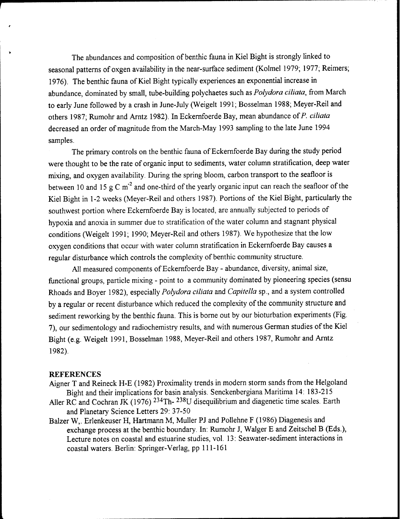The abundances and composition of benthic fauna in Kiel Bight is strongly linked to seasonal patterns of oxgen availability in the near-surface sediment (Kolmel 1979; 1977; Reimers; 1976). The benthic fauna of Kiel Bight typically experiences an exponential increase in abundance, dominated by small, tube-building polychaetes such as *Polydora ciliata,* from March to early June followed by a crash in June-July (Weigelt 1991; Bosselman 1988; Meyer-Reil and others 1987; Rumohr and Arntz 1982). In Eckernfoerde Bay, mean abundance ofP. *ciliata* decreased an order of magnitude from the March-May 1993 sampling to the late June 1994 samples.

The primary controls on the benthic fauna of Eckernfoerde Bay during the study period were thought to be the rate of organic input to sediments, water column stratification, deep water mixing, and oxygen availability. During the spring bloom, carbon transport to the seafloor is between 10 and 15 g C m<sup>-2</sup> and one-third of the yearly organic input can reach the seafloor of the Kiel Bight in 1-2 weeks (Meyer-Reil and others 1987). Portions of the Kiel Bight, particularly the southwest portion where Eckernfoerde Bay is located, are annually subjected to periods of hypoxia and anoxia in summer due to stratification of the water column and stagnant physical conditions (Weigelt 1991; 1990; Meyer-Reil and others 1987). We hypothesize that the low oxygen conditions that occur with water column stratification in Eckernfoerde Bay causes a regular disturbance which controls the complexity of benthic community structure.

All measured components of Eckernfoerde Bay - abundance, diversity, animal size, functional groups, particle mixing - point to a community dominated by pioneering species (sensu Rhoads and Boyer 1982), especially *Polydora ciliata* and *Capitella* sp., and a system controlled by a regular or recent disturbance which reduced the complexity of the community structure and sediment reworking by the benthic fauna. This is borne out by our bioturbation experiments (Fig. 7), our sedimentology and radiochemistry results, and with numerous German studies of the Kiel Bight (e.g. Weigelt 1991, Bosselman 1988, Meyer-Reil and others 1987, Rumohr and Arntz 1982).

#### **REFERENCES**

- Aigner T and Reineck H-E (1982) Proximality trends in modern storm sands from the Helgoland Bight and their implications for basin analysis. Senckenbergiana Maritima 14: 183-215
- Aller RC and Cochran JK (1976) <sup>234</sup>Th-<sup>238</sup>U disequilibrium and diagenetic time scales. Earth and Planetary Science Letters 29: 37-50
- Balzer W,. Erlenkeuser H, Hartmann M, Müller PJ and Pollehne F (1986) Diagenesis and exchange process at the benthic boundary. In: Rumohr J, Walger E and Zeitschel B (Eds.), Lecture notes on coastal and estuarine studies, vol. 13: Seawater-sediment interactions in coastal waters. Berlin: Springer-Verlag, pp 111-161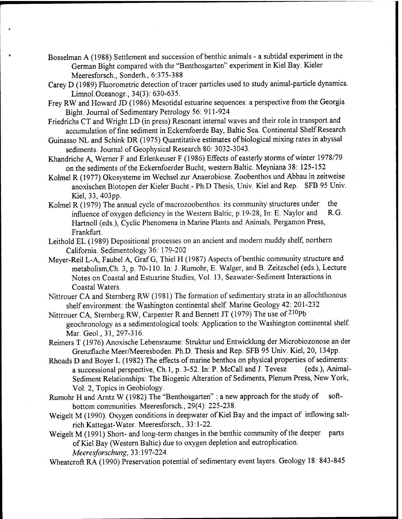- Bosselman A (1988) Settlement and succession of benthic animals a subtidal experiment in the German Bight compared with the "Benthosgarten" experiment in Kiel Bay. Kieler Meeresforsch., Sonderh., 6:375-388
- Carey D (1989) Fluorometric detection of tracer particles used to study animal-particle dynamics. Limnol.Oceanogr., 34(3): 630-635.
- Frey RW and Howard JD (1986) Mesotidal estuarine sequences: a perspective from the Georgia Bight. Journal of Sedimentary Petrology 56: 911-924
- Friedrichs CT and Wright LD (in press) Resonant internal waves and their role in transport and accumulation of fine sediment in Eckernfoerde Bay, Baltic Sea. Continental Shelf Research
- Guinasso NL and Schink DR (1975) Quantitative estimates of biological mixing rates in abyssal sediments. Journal of Geophysical Research 80: 3032-3043.
- Khandriche A, Werner F and Erlenkeuser F (1986) Effects of easterly storms of winter 1978/79 on the sediments of the Eckernfoerder Bucht, western Baltic. Meyniana 38: 125-152
- Kolmel R (1977) Ökosysteme im Wechsel zur Anaerobiose. Zoobenthos und Abbau in zeitweise anoxischen Biotopen der Kieler Bucht.- Ph.D Thesis, Univ. Kiel and Rep. SFB 95 Univ. Kiel, 33, 403pp.
- Kolmel R (1979) The annual cycle of macrozoobenthos: its community structures under the<br>influence of oxygen deficiency in the Western Baltic, p.19-28. In: E. Naylor and R.G. influence of oxygen deficiency in the Western Baltic, p. 19-28, In: E. Naylor and Hartnoll (eds.), Cyclic Phenomena in Marine Plants and Animals, Pergamon Press, Frankfurt.
- Leithold EL (1989) Depositional processes on an ancient and modern muddy shelf, northern California. Sedimentology 36: 179-202
- Meyer-Reil L-A Faubel *A,* Graf G, Thiel H (1987) Aspects of benthic community structure and metabolism,Ch. 3, p. 70-110. In: J. Rumohr, E. Walger, and B. Zeitzschel (eds.), Lecture Notes on Coastal and Estuarine Studies, Vol. 13, Seawater-Sediment Interactions in Coastal Waters.
- Nittrouer CA and Sternberg RW (1981) The formation of sedimentary strata in an allochthonous shelf environment: the Washington continental shelf. Marine Geology 42: 201-232
- Nittrouer CA, Sternberg RW, Carpenter R and Bennett JT (1979) The use of <sup>210</sup>Pb geochronology as a sedimentological tools: Application to the Washington continental shelf. Mar. Geol., 31,297-316.
- Reimers T (1976) Anoxische Lebensraume: Struktur und Entwicklung der Microbiozonose an der Grenzflache Meer/Meeresboden. Ph.D. Thesis and Rep. SFB 95 Univ. Kiel, 20, 134pp.
- Rhoads D and Boyer L (1982) The effects of marine benthos on physical properties of sediments:<br>a successional perspective Ch 1, p. 3-52. In: P. McCall and J. Tevesz (eds.), Animala successional perspective, Ch.1, p. 3-52. In: P. McCall and J. Tevesz Sediment Relationships: The Biogenic Alteration of Sediments, Plenum Press, New York, Vol. 2, Topics in Geobiology.
- Rumohr H and Arntz W (1982) The "Benthosgarten" : a new approach for the study of softbottom communities. Meeresforsch., 29(4): 225-238.
- Weigelt M (1990). Oxygen conditions in deepwater of Kiel Bay and the impact of inflowing saltrich Kattegat-Water. Meeresforsch., 33:1-22.
- Weigelt M (1991) Short- and long-term changes in the benthic community of the deeper parts ofKiel Bay (Western Baltic) due to oxygen depletion and eutrophication. *Meeresforschung,* 33:197-224.
- Wheatcroft RA (1990) Preservation potential of sedimentary event layers. Geology 18: 843-845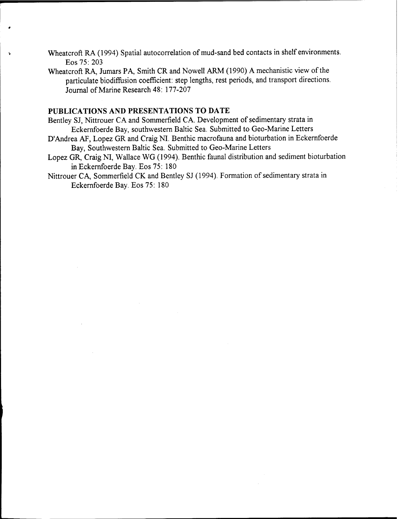- Wheatcroft RA (1994) Spatial autocorrelation of mud-sand bed contacts in shelf environments. Eos 75: 203
- Wheatcroft RA, Jumars PA, Smith CR and Nowell ARM (1990) A mechanistic view of the particulate biodiftusion coefficient: step lengths, rest periods, and transport directions. Journal of Marine Research 48: 177-207

## **PUBLICATIONS AND PRESENTATIONS TO DATE**

- Bentley SJ, Nittrouer CA and Sommerfield CA. Development of sedimentary strata in Eckernfoerde Bay, southwestern Baltic Sea. Submitted to Geo-Marine Letters
- D'Andrea AF, Lopez GR and Craig NI. Benthic macrofauna and bioturbation in Eckernfoerde Bay, Southwestern Baltic Sea. Submitted to Geo-Marine Letters
- Lopez GR, Craig NI, Wallace WG (1994). Benthic faunal distribution and sediment bioturbation in Eckernfoerde Bay. Eos 75: 180
- Nittrouer CA, Sommerfield CK and Bentley SJ (1994). Formation of sedimentary strata in Eckernfoerde Bay. Eos 75: 180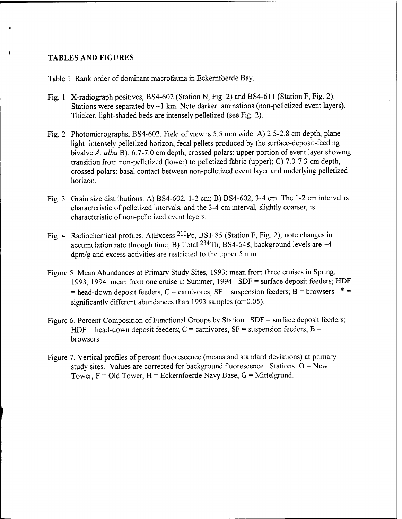## **TABLES AND FIGURES**

 $\mathbf{r}$ 

Table 1. Rank order of dominant macrofauna in Eckernfoerde Bay.

- Fig. <sup>1</sup> X-radiograph positives, BS4-602 (Station N, Fig. 2) and BS4-611 (Station F, Fig. 2). Stations were separated by  $\sim$ 1 km. Note darker laminations (non-pelletized event layers). Thicker, light-shaded beds are intensely pelletized (see Fig. 2).
- Fig. 2 Photomicrographs, BS4-602. Field of view is 5.5 mm wide. A) 2.5-2.8 cm depth, plane light: intensely pelletized horizon; fecal pellets produced by the surface-deposit-feeding bivalve A, alba B); 6.7-7.0 cm depth, crossed polars: upper portion of event layer showing transition from non-pelletized (lower) to pelletized fabric (upper); C) 7.0-7.3 cm depth, crossed polars: basal contact between non-pelletized event layer and underlying pelletized horizon.
- Fig. 3 Grain size distributions. A) BS4-602, 1-2 cm; B) BS4-602, 3-4 cm. The 1-2 cm interval is characteristic of pelletized intervals, and the 3-4 cm interval, slightly coarser, is characteristic of non-pelletized event layers.
- Fig. <sup>4</sup> Radiochemical profiles. A)Excess <sup>210</sup>Pb, BS1-85 (Station F, Fig. 2), note changes in accumulation rate through time; B) Total  $^{234}$ Th, BS4-648, background levels are  $~4$ dpm/g and excess activities are restricted to the upper 5 mm.
- Figure 5. Mean Abundances at Primary Study Sites, 1993: mean from three cruises in Spring, 1993, 1994: mean from one cruise in Summer, 1994. SDF = surface deposit feeders; HDF  $=$  head-down deposit feeders; C = carnivores; SF = suspension feeders; B = browsers.  $*$  = significantly different abundances than 1993 samples ( $\alpha$ =0.05).
- Figure 6. Percent Composition of Functional Groups by Station. SDF = surface deposit feeders; HDF = head-down deposit feeders;  $C =$  carnivores;  $SF =$  suspension feeders;  $B =$ browsers.
- Figure 7. Vertical profiles of percent fluorescence (means and standard deviations) at primary study sites. Values are corrected for background fluorescence. Stations:  $O = New$ Tower,  $F = Old Tower$ ,  $H = Eckernfoerde Navy Base$ ,  $G = Mittelgrund$ .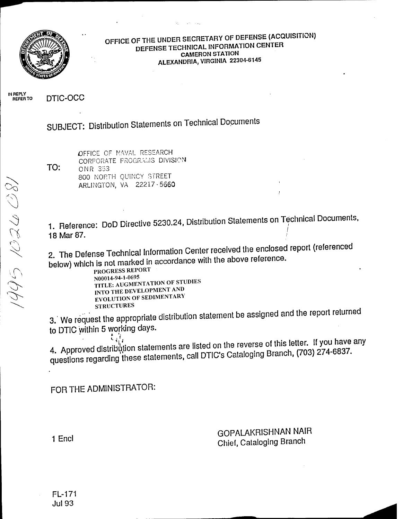

**OFFICE OF THE UNDER SECRETARY OF DEFENSE (ACQUISITION) DEFENSE TECHNICAL INFORMATION CENTER CAMERON STATION ALEXANDRIA, VIRGINIA 22304-6145**

**IN REPLY REFER TO** DTIC-OCC

SUBJECT: Distribution Statements on Technical Documents

OFFICE OF NAVAL RESEARCH CORPORATE PROGRAMS DIVISION **TO:** ONR 353 800 NORTH QUINCY STREET ARLINGTON, VA **22217-5660**

1. Reference: DoD Directive 5230.24, Distribution Statements on Technical Documents, 18 Mar 87.

2. The Defense Technical Information Center received the enclosed report (referenced below) which is not marked in accordance with the above reference.

PROGRESS REPORT N00014-94-1-0695 TITLE: AUGMENTATION OF STUDIES INTO THE DEVELOPMENT AND EVOLUTION OF SEDIMENTARY STRUCTURES

3. We request the appropriate distribution statement be assigned and the report returned to DTIC within 5 working days.

4. Approved distribution statements are listed on the reverse of this letter. If you have any ĩ, questions regarding these statements, call DTIC's Cataloging Branch, (703) 274-6837.

FOR THE ADMINISTRATOR:

GOPALAKRISHNAN NAIR Chief, Cataloging Branch

<sup>1</sup> End